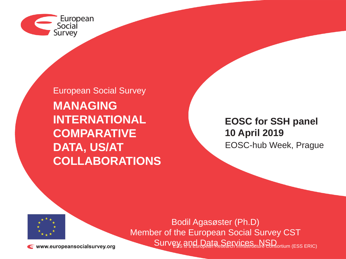

European Social Survey **MANAGING INTERNATIONAL COMPARATIVE DATA, US/AT COLLABORATIONS**

**EOSC for SSH panel 10 April 2019** EOSC-hub Week, Prague



Survey and Data Services MSD or (ESS ERIC) Bodil Agasøster (Ph.D) Member of the European Social Survey CST

www.europeansocialsurvey.org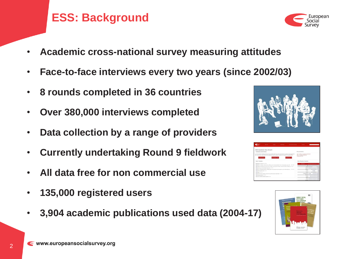2

## **ESS: Background**

- **Academic cross-national survey measuring attitudes**
- **Face-to-face interviews every two years (since 2002/03)**
- **8 rounds completed in 36 countries**
- **Over 380,000 interviews completed**
- **Data collection by a range of providers**
- **Currently undertaking Round 9 fieldwork**
- **All data free for non commercial use**
- **135,000 registered users**
- **3,904 academic publications used data (2004-17)**



|                                                                                                        | <b>State of Con-</b>                                                                 | <b>College</b> | <b>With Address</b>                                                                                                                                                                                                                                                       | <b>This And Facements</b> | <b>SAMPLE</b>                                                              |                                            |  |  |
|--------------------------------------------------------------------------------------------------------|--------------------------------------------------------------------------------------|----------------|---------------------------------------------------------------------------------------------------------------------------------------------------------------------------------------------------------------------------------------------------------------------------|---------------------------|----------------------------------------------------------------------------|--------------------------------------------|--|--|
|                                                                                                        | ESS Comulative Data Wizard                                                           |                |                                                                                                                                                                                                                                                                           |                           |                                                                            |                                            |  |  |
| Instituted was contented deposit-                                                                      |                                                                                      |                |                                                                                                                                                                                                                                                                           |                           | Thorometician                                                              |                                            |  |  |
| A Determination's                                                                                      |                                                                                      | A Course CATA  | The 555 Campdather Hata RCAA il good arcany to custodalous child from capabiled that have been on builed in the schop and 200.<br>Now in here an atom councils. We are only a possible and research travelstory to confurnise sources are file for dispositional Material | A Deemand Civ.            | <b>RELL FARMING IN THINGS AN END WINGS</b><br>1982 - Friendston Sandra Aut |                                            |  |  |
| Salary Vertichles                                                                                      |                                                                                      |                |                                                                                                                                                                                                                                                                           |                           | Select Rounds/Countries                                                    |                                            |  |  |
| 9.20 Bully our goll book (2011)                                                                        |                                                                                      |                |                                                                                                                                                                                                                                                                           |                           | <b>CA Bonnet</b>                                                           |                                            |  |  |
|                                                                                                        |                                                                                      |                | * SF Publics, reducing gainterstanders, effected road, allegations and other forms of particularizes, particularly. CATTERTS                                                                                                                                              |                           |                                                                            | <b>BE CARDING MICHIGAN DRIVE</b>           |  |  |
| * [2] habening and heng majal endusing whose are more disciplination extend and whose sheats (115.113) |                                                                                      |                |                                                                                                                                                                                                                                                                           |                           |                                                                            | Averal in links                            |  |  |
|                                                                                                        | * GR. Cander, was and financially composition (17) 1771                              |                |                                                                                                                                                                                                                                                                           |                           | <b>Seluzion</b>                                                            |                                            |  |  |
|                                                                                                        |                                                                                      |                | * [4] Social elementarybic profile, including hote of arts, education and accapators, areas resultanting (exc. 1410/4370)                                                                                                                                                 |                           | <b>Bulgary</b>                                                             |                                            |  |  |
| * SE monatorism sold (FCED)                                                                            |                                                                                      |                |                                                                                                                                                                                                                                                                           |                           | Oseie                                                                      |                                            |  |  |
| * UT Avenus (10,1911)                                                                                  |                                                                                      |                |                                                                                                                                                                                                                                                                           |                           | Comm                                                                       |                                            |  |  |
|                                                                                                        | A GP, Adverse region complete, interview time, administration of said baths, (1971). |                |                                                                                                                                                                                                                                                                           |                           | <b>Conta Regulate</b>                                                      |                                            |  |  |
| P.O. Neaton modules (PL121)                                                                            |                                                                                      |                |                                                                                                                                                                                                                                                                           |                           | <b>Ballymark</b>                                                           |                                            |  |  |
| * 27 Crack module exclusive spectrum (111)                                                             |                                                                                      |                |                                                                                                                                                                                                                                                                           |                           | <b>Trennis</b>                                                             |                                            |  |  |
|                                                                                                        |                                                                                      |                |                                                                                                                                                                                                                                                                           |                           | <b>Fishers</b>                                                             |                                            |  |  |
|                                                                                                        |                                                                                      |                |                                                                                                                                                                                                                                                                           |                           | France                                                                     |                                            |  |  |
|                                                                                                        |                                                                                      |                |                                                                                                                                                                                                                                                                           |                           |                                                                            | Wagnesser, July 4 at 100 per cent the time |  |  |



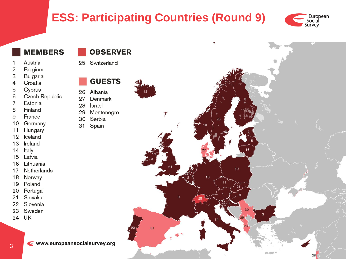# **ESS: Participating Countries (Round 9)**



#### **MEMBERS**

- Austria
- Belgium  $\overline{2}$
- **Bulgaria** З
- Croatia  $\overline{4}$
- Cyprus 5
- **Czech Republic** 6
- 7 Estonia
- Finland 8
- France 9
- 10 Germany
- Hungary  $11$
- $12$ celand
- 13 Ireland
- 14 Italy
- Latvia 15
- Lithuania 16
- **Netherlands** 17
- 18 Norway
- 19 Poland
- 20 Portugal
- Slovakia  $21$
- Slovenia 22
- 23 Sweden
- UK 24

#### **OBSERVER**

25 Switzerland

#### **GUESTS**

- Albania 26
- 27 Denmark
- Israel 28
- Montenegro 29
- Serbia 30
- $31$ Spain





← www.europeansocialsurvey.org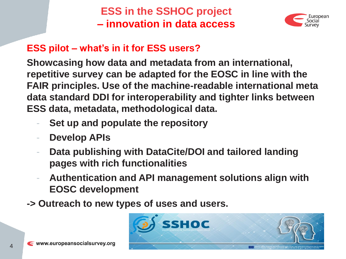**ESS in the SSHOC project – innovation in data access**



## **ESS pilot – what's in it for ESS users?**

**Showcasing how data and metadata from an international, repetitive survey can be adapted for the EOSC in line with the FAIR principles. Use of the machine-readable international meta data standard DDI for interoperability and tighter links between ESS data, metadata, methodological data.**

- **Set up and populate the repository**
- **Develop APIs**
- **Data publishing with DataCite/DOI and tailored landing pages with rich functionalities**
- **Authentication and API management solutions align with EOSC development**
- **-> Outreach to new types of uses and users.**

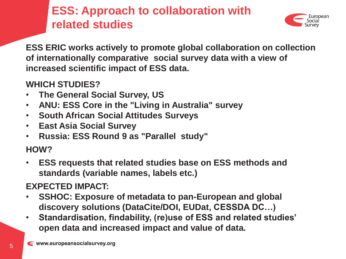# **ESS: Approach to collaboration with related studies**



**ESS ERIC works actively to promote global collaboration on collection of internationally comparative social survey data with a view of increased scientific impact of ESS data.**

### **WHICH STUDIES?**

- **The General Social Survey, US**
- **ANU: ESS Core in the "Living in Australia" survey**
- **South African Social Attitudes Surveys**
- **East Asia Social Survey**
- **Russia: ESS Round 9 as "Parallel study"**

### **HOW?**

• **ESS requests that related studies base on ESS methods and standards (variable names, labels etc.)**

### **EXPECTED IMPACT:**

- **SSHOC: Exposure of metadata to pan-European and global discovery solutions (DataCite/DOI, EUDat, CESSDA DC…)**
- **Standardisation, findability, (re)use of ESS and related studies' open data and increased impact and value of data.**